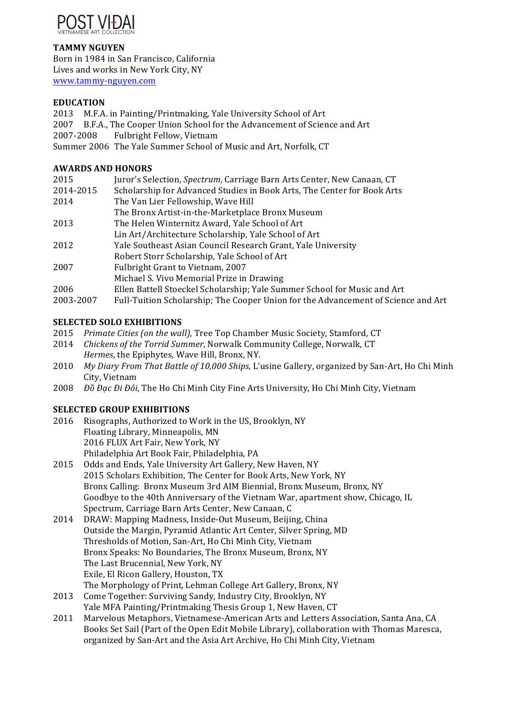

## **TAMMY NGUYEN**

Born in 1984 in San Francisco, California Lives and works in New York City, NY www.tammy-nguyen.com

## **EDUCATION**

2013 M.F.A. in Painting/Printmaking, Yale University School of Art 2007 B.F.A., The Cooper Union School for the Advancement of Science and Art 2007-2008 Fulbright Fellow, Vietnam Summer 2006 The Yale Summer School of Music and Art, Norfolk, CT

# **AWARDS AND HONORS**

| 2015      | Juror's Selection, Spectrum, Carriage Barn Arts Center, New Canaan, CT            |
|-----------|-----------------------------------------------------------------------------------|
| 2014-2015 | Scholarship for Advanced Studies in Book Arts, The Center for Book Arts           |
| 2014      | The Van Lier Fellowship, Wave Hill                                                |
|           | The Bronx Artist-in-the-Marketplace Bronx Museum                                  |
| 2013      | The Helen Winternitz Award, Yale School of Art                                    |
|           | Lin Art/Architecture Scholarship, Yale School of Art                              |
| 2012      | Yale Southeast Asian Council Research Grant, Yale University                      |
|           | Robert Storr Scholarship, Yale School of Art                                      |
| 2007      | Fulbright Grant to Vietnam, 2007                                                  |
|           | Michael S. Vivo Memorial Prize in Drawing                                         |
| 2006      | Ellen Battell Stoeckel Scholarship; Yale Summer School for Music and Art          |
| 2003-2007 | Full-Tuition Scholarship; The Cooper Union for the Advancement of Science and Art |

# **SELECTED SOLO EXHIBITIONS**

- 2015 *Primate Cities (on the wall)*, Tree Top Chamber Music Society, Stamford, CT
- 2014 *Chickens of the Torrid Summer*, Norwalk Community College, Norwalk, CT *Hermes*, the Epiphytes, Wave Hill, Bronx, NY.
- 2010 *My Diary From That Battle of 10,000 Ships*, L'usine Gallery, organized by San-Art, Ho Chi Minh City, Vietnam
- 2008 *Đồ Đạc Đi Đôi*, The Ho Chi Minh City Fine Arts University, Ho Chi Minh City, Vietnam

## **SELECTED GROUP EXHIBITIONS**

- 2016 Risographs, Authorized to Work in the US, Brooklyn, NY Floating Library, Minneapolis, MN 2016 FLUX Art Fair, New York, NY Philadelphia Art Book Fair, Philadelphia, PA
- 2015 Odds and Ends, Yale University Art Gallery, New Haven, NY 2015 Scholars Exhibition, The Center for Book Arts, New York, NY Bronx Calling: Bronx Museum 3rd AIM Biennial, Bronx Museum, Bronx, NY Goodbye to the 40th Anniversary of the Vietnam War, apartment show, Chicago, IL Spectrum, Carriage Barn Arts Center, New Canaan, C
- 2014 DRAW: Mapping Madness, Inside-Out Museum, Beijing, China Outside the Margin, Pyramid Atlantic Art Center, Silver Spring, MD Thresholds of Motion, San-Art, Ho Chi Minh City, Vietnam Bronx Speaks: No Boundaries, The Bronx Museum, Bronx, NY The Last Brucennial, New York, NY Exile, El Ricon Gallery, Houston, TX The Morphology of Print, Lehman College Art Gallery, Bronx, NY
- 2013 Come Together: Surviving Sandy, Industry City, Brooklyn, NY Yale MFA Painting/Printmaking Thesis Group 1, New Haven, CT
- 2011 Marvelous Metaphors, Vietnamese-American Arts and Letters Association, Santa Ana, CA Books Set Sail (Part of the Open Edit Mobile Library), collaboration with Thomas Maresca, organized by San-Art and the Asia Art Archive, Ho Chi Minh City, Vietnam